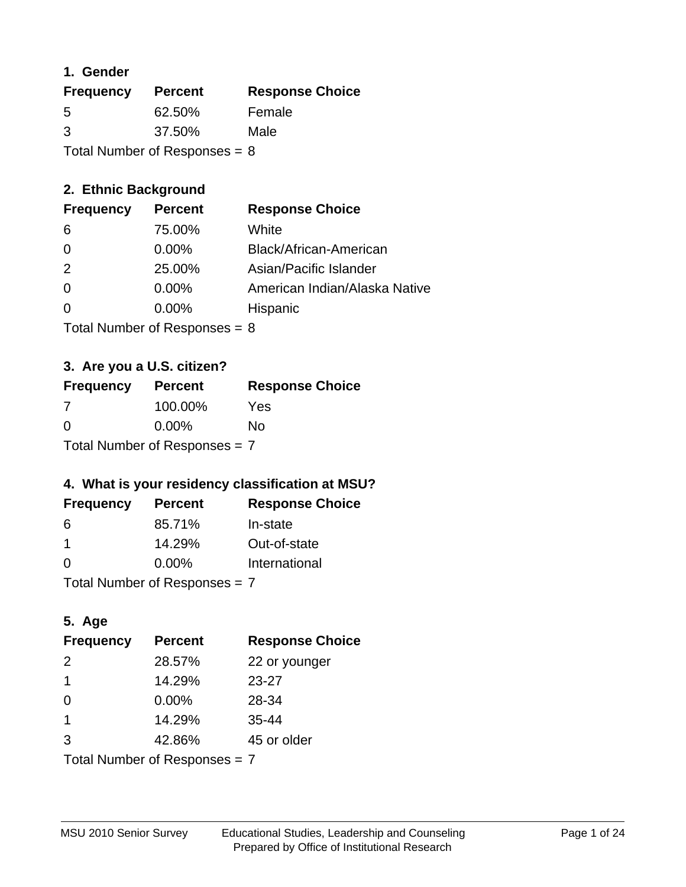### **1. Gender**

| <b>Frequency</b>                | <b>Percent</b> | <b>Response Choice</b> |
|---------------------------------|----------------|------------------------|
| 5                               | 62.50%         | Female                 |
| 3                               | 37.50%         | Male                   |
| Total Number of Responses = $8$ |                |                        |

### **2. Ethnic Background**

| <b>Frequency</b> | <b>Percent</b> | <b>Response Choice</b>        |
|------------------|----------------|-------------------------------|
| -6               | 75.00%         | White                         |
| $\Omega$         | $0.00\%$       | Black/African-American        |
| -2               | 25.00%         | Asian/Pacific Islander        |
| $\Omega$         | $0.00\%$       | American Indian/Alaska Native |
|                  | $0.00\%$       | Hispanic                      |
|                  |                |                               |

Total Number of Responses = 8

### **3. Are you a U.S. citizen?**

| <b>Frequency</b>                | <b>Percent</b> | <b>Response Choice</b> |
|---------------------------------|----------------|------------------------|
| 7                               | 100.00%        | Yes                    |
| $\Omega$                        | $0.00\%$       | No                     |
| Total Number of Responses $= 7$ |                |                        |

### **4. What is your residency classification at MSU?**

| <b>Frequency</b> | <b>Percent</b> | <b>Response Choice</b> |
|------------------|----------------|------------------------|
| 6                | 85.71%         | In-state               |
|                  | 14.29%         | Out-of-state           |
| $\Omega$         | $0.00\%$       | International          |
|                  |                |                        |

Total Number of Responses = 7

### **5. Age**

| <b>Frequency</b>                | <b>Percent</b> | <b>Response Choice</b> |
|---------------------------------|----------------|------------------------|
| 2                               | 28.57%         | 22 or younger          |
| 1                               | 14.29%         | $23 - 27$              |
| $\Omega$                        | $0.00\%$       | 28-34                  |
| 1                               | 14.29%         | $35 - 44$              |
| 3                               | 42.86%         | 45 or older            |
| Total Number of Responses $= 7$ |                |                        |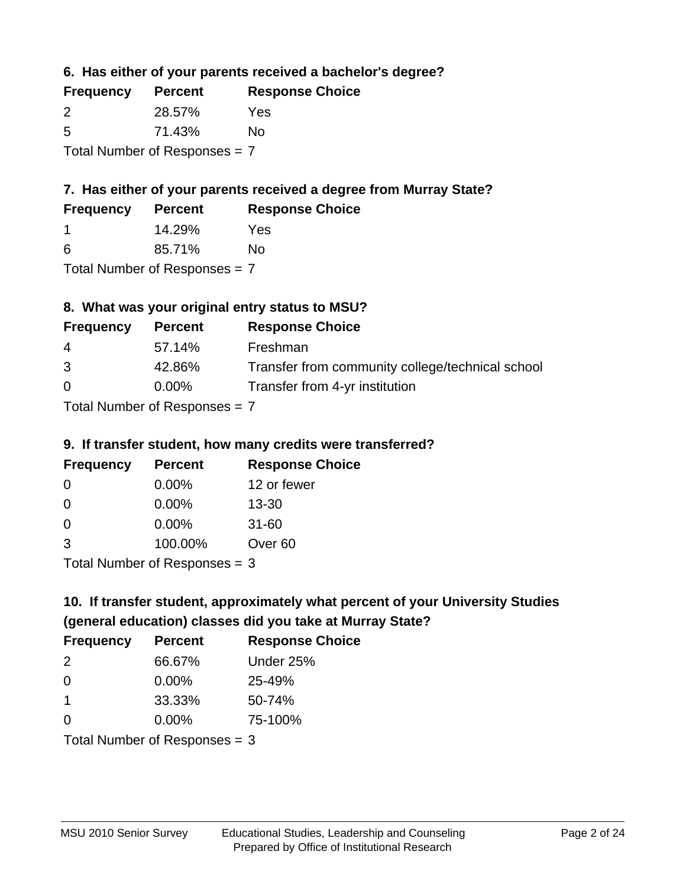**6. Has either of your parents received a bachelor's degree?**

| <b>Frequency</b>                | <b>Percent</b> | <b>Response Choice</b> |
|---------------------------------|----------------|------------------------|
| $\mathcal{P}$                   | 28.57%         | Yes                    |
| -5                              | 71.43%         | No                     |
| Total Number of Responses $= 7$ |                |                        |

### **7. Has either of your parents received a degree from Murray State?**

| <b>Frequency</b> | <b>Percent</b> | <b>Response Choice</b> |
|------------------|----------------|------------------------|
|                  | 14.29%         | Yes.                   |
| -6               | 85.71%         | No                     |

Total Number of Responses = 7

### **8. What was your original entry status to MSU?**

| <b>Frequency</b> | <b>Percent</b>            | <b>Response Choice</b>                           |
|------------------|---------------------------|--------------------------------------------------|
| 4                | 57.14%                    | Freshman                                         |
| 3                | 42.86%                    | Transfer from community college/technical school |
| $\Omega$         | $0.00\%$                  | Transfer from 4-yr institution                   |
|                  | Total Number of Despenses |                                                  |

Total Number of Responses = 7

### **9. If transfer student, how many credits were transferred?**

| <b>Frequency</b> | <b>Percent</b>              | <b>Response Choice</b> |
|------------------|-----------------------------|------------------------|
| -0               | $0.00\%$                    | 12 or fewer            |
| 0                | $0.00\%$                    | $13 - 30$              |
| 0                | 0.00%                       | $31 - 60$              |
| 3                | 100.00%                     | Over <sub>60</sub>     |
|                  | $Total Number of Denonce 2$ |                        |

I otal Number of Responses  $=$  3

# **10. If transfer student, approximately what percent of your University Studies (general education) classes did you take at Murray State?**

| <b>Frequency</b>                | <b>Percent</b> | <b>Response Choice</b> |
|---------------------------------|----------------|------------------------|
| $\mathcal{P}$                   | 66.67%         | Under 25%              |
| $\Omega$                        | $0.00\%$       | 25-49%                 |
| -1                              | 33.33%         | 50-74%                 |
| $\Omega$                        | 0.00%          | 75-100%                |
| Total Number of Responses $=$ 3 |                |                        |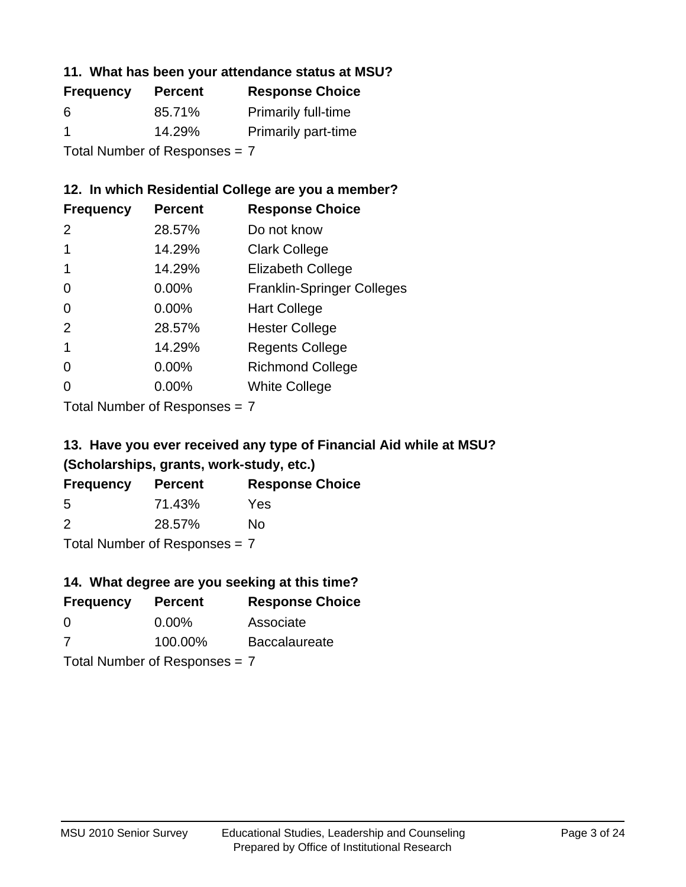### **11. What has been your attendance status at MSU?**

| <b>Frequency</b>          | <b>Percent</b> | <b>Response Choice</b>     |
|---------------------------|----------------|----------------------------|
| 6                         | 85.71%         | <b>Primarily full-time</b> |
| -1                        | 14.29%         | <b>Primarily part-time</b> |
| Tatal Number of Desperace |                |                            |

Total Number of Responses = 7

### **12. In which Residential College are you a member?**

| <b>Frequency</b> | <b>Percent</b> | <b>Response Choice</b>            |
|------------------|----------------|-----------------------------------|
| $\mathcal{P}$    | 28.57%         | Do not know                       |
|                  | 14.29%         | <b>Clark College</b>              |
| 1                | 14.29%         | <b>Elizabeth College</b>          |
| 0                | $0.00\%$       | <b>Franklin-Springer Colleges</b> |
| 0                | $0.00\%$       | <b>Hart College</b>               |
| $\mathcal{P}$    | 28.57%         | <b>Hester College</b>             |
|                  | 14.29%         | <b>Regents College</b>            |
| 0                | 0.00%          | <b>Richmond College</b>           |
| 0                | 0.00%          | <b>White College</b>              |

Total Number of Responses = 7

### **13. Have you ever received any type of Financial Aid while at MSU? (Scholarships, grants, work-study, etc.)**

| <b>Frequency</b> | <b>Percent</b>                  | <b>Response Choice</b> |
|------------------|---------------------------------|------------------------|
| 5                | 71.43%                          | Yes                    |
| $\mathcal{P}$    | 28.57%                          | Nο                     |
|                  | Total Number of Responses $= 7$ |                        |

# **14. What degree are you seeking at this time?**

| <b>Frequency</b> | <b>Percent</b>                  | <b>Response Choice</b> |
|------------------|---------------------------------|------------------------|
| $\Omega$         | $0.00\%$                        | Associate              |
| 7                | 100.00%                         | <b>Baccalaureate</b>   |
|                  | Total Number of Responses $= 7$ |                        |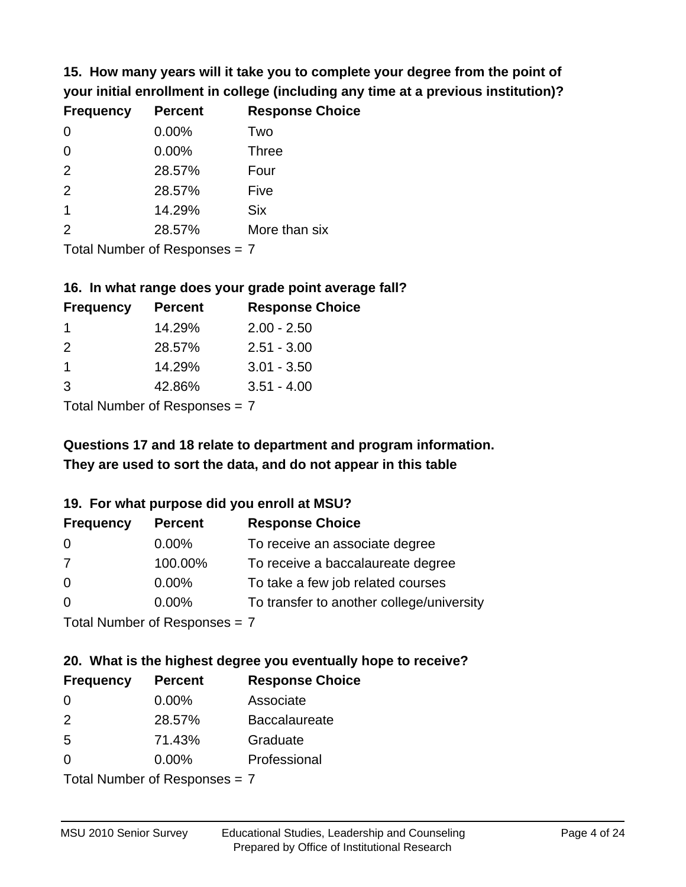**15. How many years will it take you to complete your degree from the point of your initial enrollment in college (including any time at a previous institution)?**

| <b>Frequency</b> | <b>Percent</b> | <b>Response Choice</b> |
|------------------|----------------|------------------------|
| $\Omega$         | 0.00%          | Two                    |
| $\Omega$         | 0.00%          | <b>Three</b>           |
| 2                | 28.57%         | Four                   |
| 2                | 28.57%         | Five                   |
| $\mathbf 1$      | 14.29%         | <b>Six</b>             |
| 2                | 28.57%         | More than six          |
|                  |                |                        |

Total Number of Responses = 7

#### **16. In what range does your grade point average fall?**

| <b>Frequency</b> | <b>Percent</b> | <b>Response Choice</b> |
|------------------|----------------|------------------------|
|                  | 14.29%         | $2.00 - 2.50$          |
| $\mathcal{P}$    | 28.57%         | $2.51 - 3.00$          |
| 1                | 14.29%         | $3.01 - 3.50$          |
| 3                | 42.86%         | $3.51 - 4.00$          |
|                  |                |                        |

Total Number of Responses = 7

### **They are used to sort the data, and do not appear in this table Questions 17 and 18 relate to department and program information.**

### **19. For what purpose did you enroll at MSU?**

| <b>Frequency</b> | <b>Percent</b>              | <b>Response Choice</b>                    |
|------------------|-----------------------------|-------------------------------------------|
| 0                | $0.00\%$                    | To receive an associate degree            |
| 7                | 100.00%                     | To receive a baccalaureate degree         |
| $\overline{0}$   | $0.00\%$                    | To take a few job related courses         |
| $\Omega$         | $0.00\%$                    | To transfer to another college/university |
|                  | Total Number of Despesses 7 |                                           |

Total Number of Responses = 7

# **20. What is the highest degree you eventually hope to receive?**

| <b>Frequency</b> | <b>Percent</b>              | <b>Response Choice</b> |
|------------------|-----------------------------|------------------------|
| 0                | $0.00\%$                    | Associate              |
| 2                | 28.57%                      | <b>Baccalaureate</b>   |
| 5                | 71.43%                      | Graduate               |
| $\Omega$         | $0.00\%$                    | Professional           |
|                  | Total Number of Despesses 7 |                        |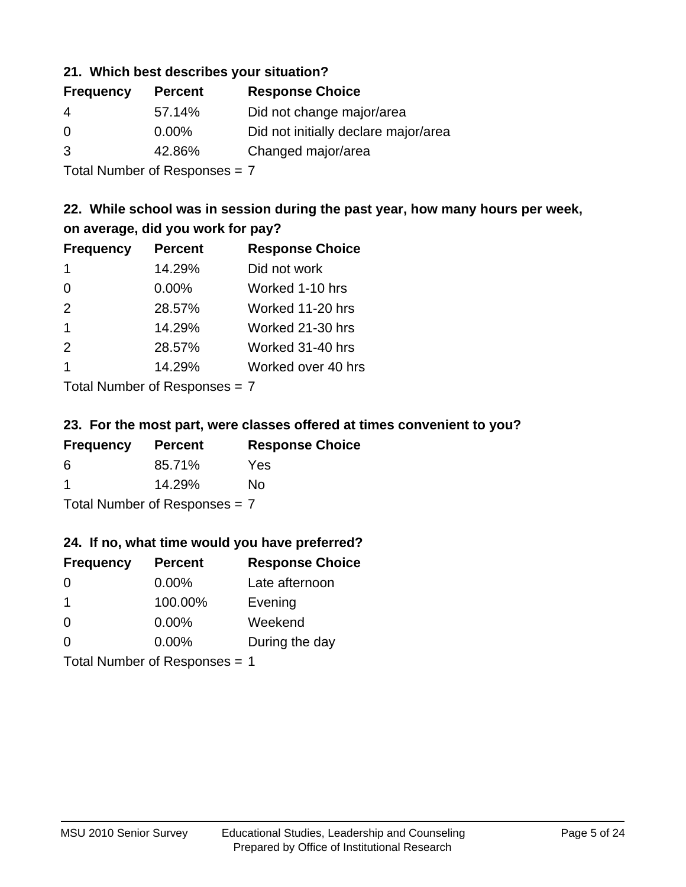### **21. Which best describes your situation?**

| <b>Frequency</b> | <b>Percent</b> | <b>Response Choice</b>               |
|------------------|----------------|--------------------------------------|
| 4                | 57.14%         | Did not change major/area            |
| $\Omega$         | $0.00\%$       | Did not initially declare major/area |
| 3                | 42.86%         | Changed major/area                   |
|                  |                |                                      |

Total Number of Responses = 7

### **22. While school was in session during the past year, how many hours per week, on average, did you work for pay?**

| <b>Frequency</b> | <b>Percent</b> | <b>Response Choice</b> |
|------------------|----------------|------------------------|
| -1               | 14.29%         | Did not work           |
| $\Omega$         | 0.00%          | Worked 1-10 hrs        |
| 2                | 28.57%         | Worked 11-20 hrs       |
| $\mathbf 1$      | 14.29%         | Worked 21-30 hrs       |
| 2                | 28.57%         | Worked 31-40 hrs       |
| -1               | 14.29%         | Worked over 40 hrs     |
|                  |                |                        |

Total Number of Responses = 7

### **23. For the most part, were classes offered at times convenient to you?**

| <b>Frequency</b>                | <b>Percent</b> | <b>Response Choice</b> |
|---------------------------------|----------------|------------------------|
| 6                               | 85.71%         | Yes                    |
| -1                              | 14.29%         | Nο                     |
| Total Number of Responses = $7$ |                |                        |

### **24. If no, what time would you have preferred?**

| <b>Frequency</b> | <b>Percent</b>                | <b>Response Choice</b> |
|------------------|-------------------------------|------------------------|
| $\Omega$         | $0.00\%$                      | Late afternoon         |
| $\mathbf 1$      | 100.00%                       | Evening                |
| $\Omega$         | $0.00\%$                      | Weekend                |
| $\Omega$         | $0.00\%$                      | During the day         |
|                  | Total Number of Responses = 1 |                        |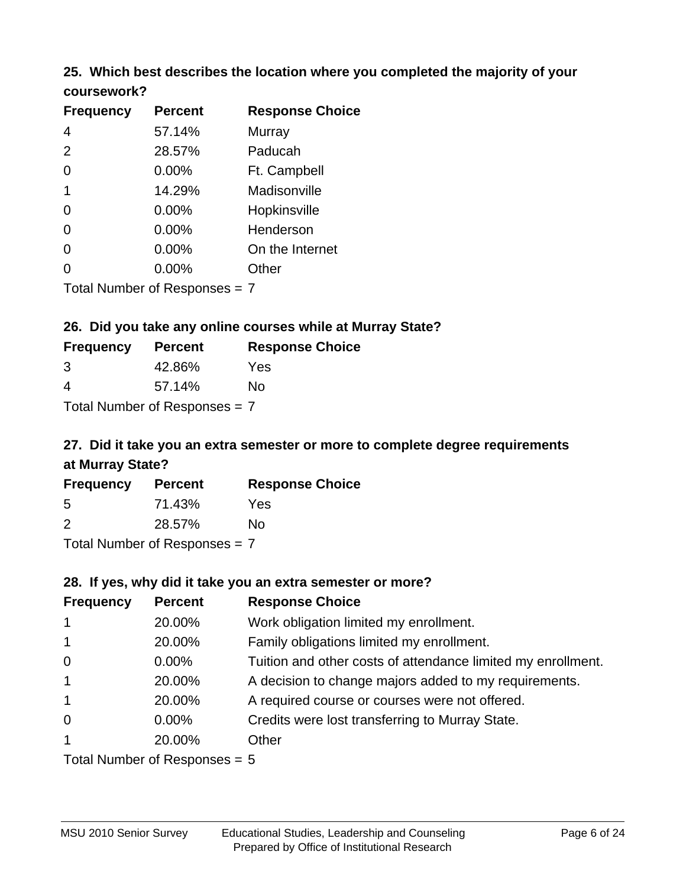### **25. Which best describes the location where you completed the majority of your coursework?**

| <b>Frequency</b> | <b>Percent</b>                  | <b>Response Choice</b> |
|------------------|---------------------------------|------------------------|
| 4                | 57.14%                          | Murray                 |
| 2                | 28.57%                          | Paducah                |
| 0                | 0.00%                           | Ft. Campbell           |
| 1                | 14.29%                          | Madisonville           |
| 0                | 0.00%                           | Hopkinsville           |
| 0                | 0.00%                           | Henderson              |
| 0                | 0.00%                           | On the Internet        |
| 0                | 0.00%                           | Other                  |
|                  | Total Number of Responses $= 7$ |                        |

**26. Did you take any online courses while at Murray State?**

| <b>Frequency</b> | <b>Percent</b>                  | <b>Response Choice</b> |
|------------------|---------------------------------|------------------------|
| 3                | 42.86%                          | Yes                    |
| 4                | 57.14%                          | Nο                     |
|                  | Total Number of Responses $= 7$ |                        |

# **27. Did it take you an extra semester or more to complete degree requirements at Murray State?**

| <b>Frequency</b> | <b>Percent</b> | <b>Response Choice</b> |
|------------------|----------------|------------------------|
| 5                | 71.43%         | Yes                    |
| $\mathcal{P}$    | 28.57%         | Nο                     |
|                  |                |                        |

Total Number of Responses = 7

### **28. If yes, why did it take you an extra semester or more?**

| <b>Frequency</b> | <b>Percent</b>                 | <b>Response Choice</b>                                       |
|------------------|--------------------------------|--------------------------------------------------------------|
| $\mathbf{1}$     | 20.00%                         | Work obligation limited my enrollment.                       |
| $\mathbf{1}$     | 20.00%                         | Family obligations limited my enrollment.                    |
| $\mathbf 0$      | $0.00\%$                       | Tuition and other costs of attendance limited my enrollment. |
| $\mathbf{1}$     | 20.00%                         | A decision to change majors added to my requirements.        |
| $\overline{1}$   | 20.00%                         | A required course or courses were not offered.               |
| $\overline{0}$   | $0.00\%$                       | Credits were lost transferring to Murray State.              |
| $\mathbf{1}$     | 20.00%                         | Other                                                        |
|                  | Total Number of Reconnect $-5$ |                                                              |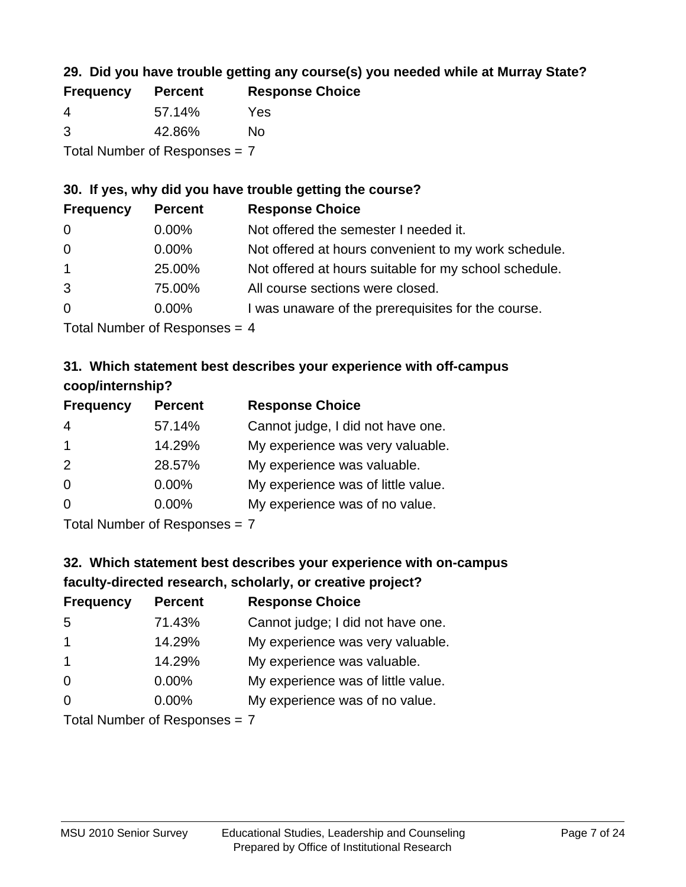### **29. Did you have trouble getting any course(s) you needed while at Murray State?**

| <b>Frequency</b>                | <b>Percent</b> | <b>Response Choice</b> |  |
|---------------------------------|----------------|------------------------|--|
| -4                              | 57.14%         | Yes                    |  |
| -3                              | 42.86%         | Nο                     |  |
| Total Number of Responses = $7$ |                |                        |  |

### **30. If yes, why did you have trouble getting the course?**

| <b>Frequency</b> | <b>Percent</b> | <b>Response Choice</b>                                |
|------------------|----------------|-------------------------------------------------------|
| $\overline{0}$   | $0.00\%$       | Not offered the semester I needed it.                 |
| $\overline{0}$   | $0.00\%$       | Not offered at hours convenient to my work schedule.  |
| $\overline{1}$   | 25.00%         | Not offered at hours suitable for my school schedule. |
| 3                | 75.00%         | All course sections were closed.                      |
| $\overline{0}$   | $0.00\%$       | I was unaware of the prerequisites for the course.    |
|                  |                |                                                       |

Total Number of Responses = 4

### **31. Which statement best describes your experience with off-campus coop/internship?**

| <b>Frequency</b> | <b>Percent</b> | <b>Response Choice</b>             |
|------------------|----------------|------------------------------------|
| $\overline{4}$   | 57.14%         | Cannot judge, I did not have one.  |
| $\mathbf 1$      | 14.29%         | My experience was very valuable.   |
| 2                | 28.57%         | My experience was valuable.        |
| $\Omega$         | $0.00\%$       | My experience was of little value. |
| $\Omega$         | 0.00%          | My experience was of no value.     |
|                  |                |                                    |

Total Number of Responses = 7

# **32. Which statement best describes your experience with on-campus faculty-directed research, scholarly, or creative project?**

| <b>Frequency</b> | <b>Percent</b>             | <b>Response Choice</b>             |
|------------------|----------------------------|------------------------------------|
| 5                | 71.43%                     | Cannot judge; I did not have one.  |
| $\overline{1}$   | 14.29%                     | My experience was very valuable.   |
| $\mathbf 1$      | 14.29%                     | My experience was valuable.        |
| $\Omega$         | $0.00\%$                   | My experience was of little value. |
| $\Omega$         | 0.00%                      | My experience was of no value.     |
|                  | Tatal Number of Desperance |                                    |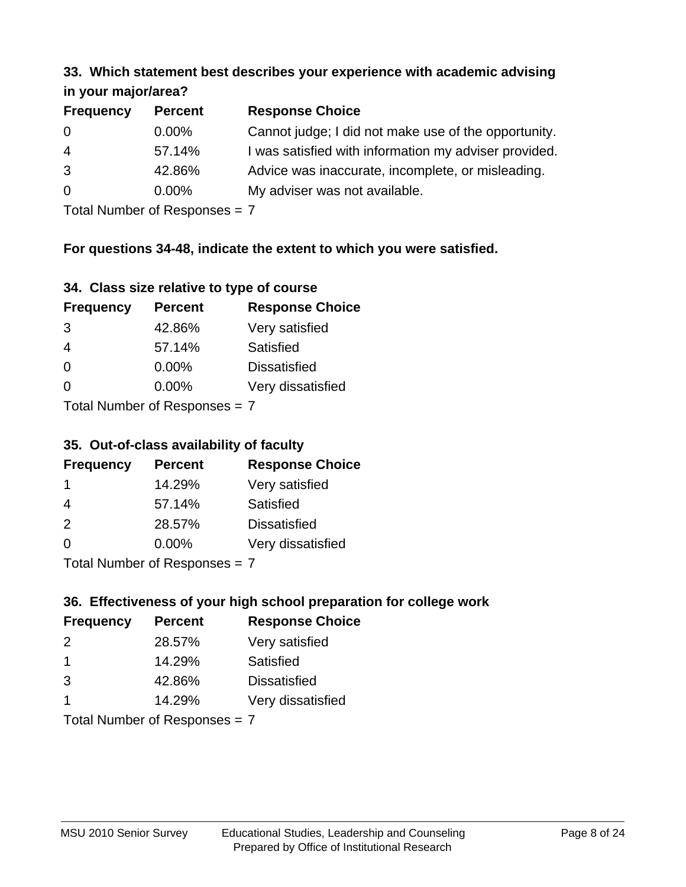#### **33. Which statement best describes your experience with academic advising in your major/area?**

| $\cdots$ your mapping out. |                |                                                       |  |
|----------------------------|----------------|-------------------------------------------------------|--|
| <b>Frequency</b>           | <b>Percent</b> | <b>Response Choice</b>                                |  |
| 0                          | $0.00\%$       | Cannot judge; I did not make use of the opportunity.  |  |
| $\overline{4}$             | 57.14%         | I was satisfied with information my adviser provided. |  |
| 3                          | 42.86%         | Advice was inaccurate, incomplete, or misleading.     |  |
| $\overline{0}$             | $0.00\%$       | My adviser was not available.                         |  |
|                            |                |                                                       |  |

Total Number of Responses = 7

### **For questions 34-48, indicate the extent to which you were satisfied.**

|  | 34. Class size relative to type of course |  |  |
|--|-------------------------------------------|--|--|
|  |                                           |  |  |

| <b>Frequency</b> | <b>Percent</b>                | <b>Response Choice</b> |
|------------------|-------------------------------|------------------------|
| 3                | 42.86%                        | Very satisfied         |
| 4                | 57.14%                        | Satisfied              |
| $\overline{0}$   | $0.00\%$                      | <b>Dissatisfied</b>    |
| $\Omega$         | $0.00\%$                      | Very dissatisfied      |
|                  | Total Number of Reconnege – 7 |                        |

Total Number of Responses  $=$   $\prime$ 

### **35. Out-of-class availability of faculty**

| <b>Frequency</b> | <b>Percent</b> | <b>Response Choice</b> |
|------------------|----------------|------------------------|
|                  | 14.29%         | Very satisfied         |
| 4                | 57.14%         | Satisfied              |
| 2                | 28.57%         | <b>Dissatisfied</b>    |
| $\Omega$         | 0.00%          | Very dissatisfied      |
|                  |                |                        |

Total Number of Responses = 7

### **36. Effectiveness of your high school preparation for college work**

| <b>Frequency</b> | <b>Percent</b>                | <b>Response Choice</b> |
|------------------|-------------------------------|------------------------|
| $\mathcal{P}$    | 28.57%                        | Very satisfied         |
| -1               | 14.29%                        | Satisfied              |
| 3                | 42.86%                        | <b>Dissatisfied</b>    |
| -1               | 14.29%                        | Very dissatisfied      |
|                  | Total Number of Poenances - 7 |                        |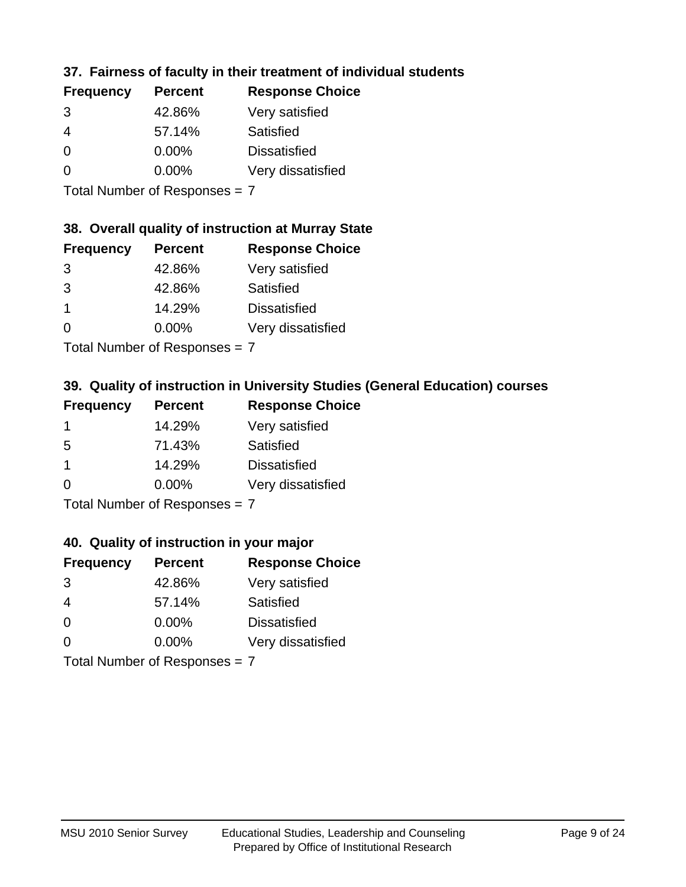### **37. Fairness of faculty in their treatment of individual students**

| <b>Frequency</b> | <b>Percent</b> | <b>Response Choice</b> |
|------------------|----------------|------------------------|
| 3                | 42.86%         | Very satisfied         |
| 4                | 57.14%         | Satisfied              |
| $\Omega$         | $0.00\%$       | <b>Dissatisfied</b>    |
| $\Omega$         | $0.00\%$       | Very dissatisfied      |
|                  |                |                        |

Total Number of Responses = 7

### **38. Overall quality of instruction at Murray State**

| <b>Frequency</b> | <b>Percent</b> | <b>Response Choice</b> |
|------------------|----------------|------------------------|
| 3                | 42.86%         | Very satisfied         |
| 3                | 42.86%         | Satisfied              |
|                  | 14.29%         | <b>Dissatisfied</b>    |
| $\Omega$         | 0.00%          | Very dissatisfied      |
|                  |                |                        |

Total Number of Responses = 7

### **39. Quality of instruction in University Studies (General Education) courses**

| <b>Frequency</b> | <b>Percent</b> | <b>Response Choice</b> |
|------------------|----------------|------------------------|
|                  | 14.29%         | Very satisfied         |
| 5                | 71.43%         | Satisfied              |
|                  | 14.29%         | <b>Dissatisfied</b>    |
| $\Omega$         | 0.00%          | Very dissatisfied      |
|                  |                |                        |

Total Number of Responses = 7

### **40. Quality of instruction in your major**

| <b>Frequency</b>                                | <b>Percent</b> | <b>Response Choice</b> |
|-------------------------------------------------|----------------|------------------------|
| 3                                               | 42.86%         | Very satisfied         |
| 4                                               | 57.14%         | Satisfied              |
| $\Omega$                                        | $0.00\%$       | <b>Dissatisfied</b>    |
| $\Omega$                                        | $0.00\%$       | Very dissatisfied      |
| $T$ at all Masseds and $R$ $D$ are a second $T$ |                |                        |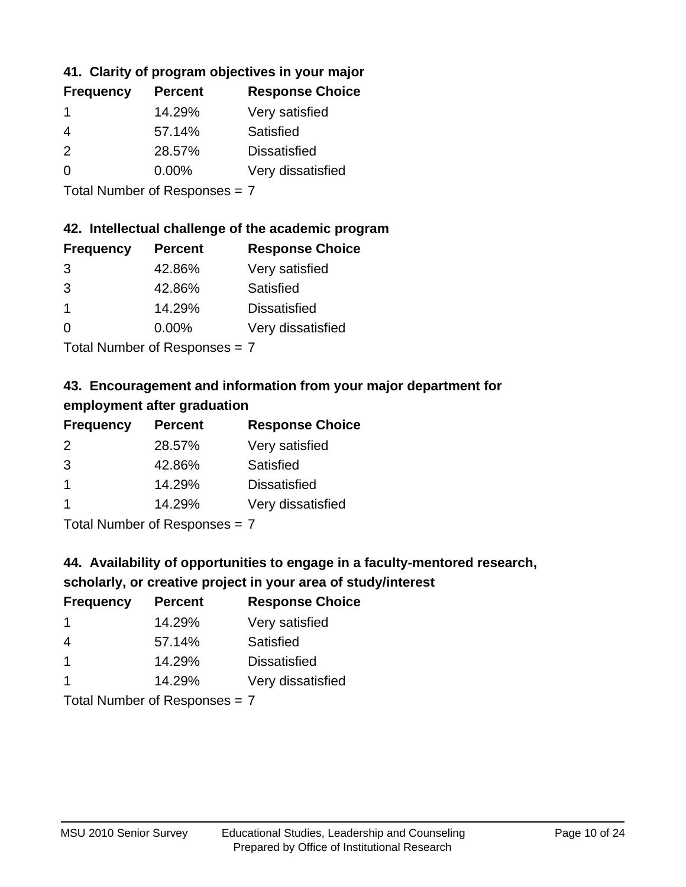### **41. Clarity of program objectives in your major**

| <b>Percent</b> | <b>Response Choice</b> |
|----------------|------------------------|
| 14.29%         | Very satisfied         |
| 57.14%         | Satisfied              |
| 28.57%         | <b>Dissatisfied</b>    |
| $0.00\%$       | Very dissatisfied      |
|                |                        |

Total Number of Responses = 7

### **42. Intellectual challenge of the academic program**

| <b>Frequency</b> | <b>Percent</b> | <b>Response Choice</b> |
|------------------|----------------|------------------------|
| 3                | 42.86%         | Very satisfied         |
| 3                | 42.86%         | Satisfied              |
|                  | 14.29%         | <b>Dissatisfied</b>    |
| $\Omega$         | 0.00%          | Very dissatisfied      |
|                  |                |                        |

Total Number of Responses = 7

### **43. Encouragement and information from your major department for employment after graduation**

| <b>Frequency</b> | <b>Percent</b> | <b>Response Choice</b> |
|------------------|----------------|------------------------|
| 2                | 28.57%         | Very satisfied         |
| 3                | 42.86%         | Satisfied              |
| -1               | 14.29%         | <b>Dissatisfied</b>    |
| -1               | 14.29%         | Very dissatisfied      |
|                  |                |                        |

Total Number of Responses = 7

# **44. Availability of opportunities to engage in a faculty-mentored research,**

### **scholarly, or creative project in your area of study/interest**

| <b>Frequency</b> | <b>Percent</b> | <b>Response Choice</b> |
|------------------|----------------|------------------------|
|                  | 14.29%         | Very satisfied         |
| 4                | 57.14%         | Satisfied              |
|                  | 14.29%         | <b>Dissatisfied</b>    |
|                  | 14.29%         | Very dissatisfied      |
|                  |                |                        |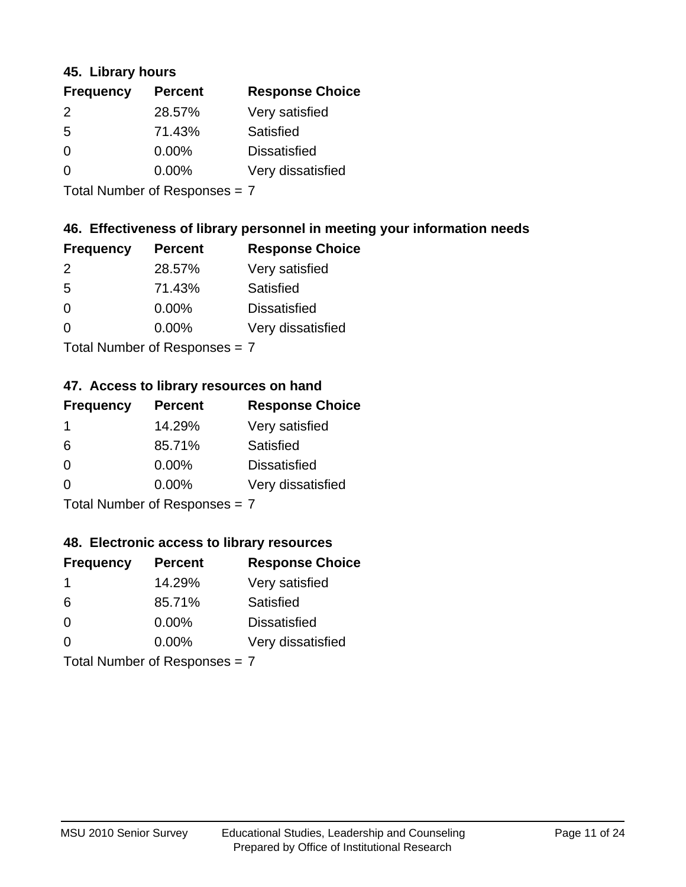### **45. Library hours**

| <b>Frequency</b> | <b>Percent</b> | <b>Response Choice</b> |
|------------------|----------------|------------------------|
| 2                | 28.57%         | Very satisfied         |
| 5                | 71.43%         | Satisfied              |
| $\Omega$         | $0.00\%$       | <b>Dissatisfied</b>    |
| 0                | $0.00\%$       | Very dissatisfied      |
|                  |                |                        |

Total Number of Responses = 7

### **46. Effectiveness of library personnel in meeting your information needs**

| <b>Frequency</b> | <b>Percent</b> | <b>Response Choice</b> |
|------------------|----------------|------------------------|
| $\mathcal{P}$    | 28.57%         | Very satisfied         |
| .5               | 71.43%         | Satisfied              |
| 0                | $0.00\%$       | <b>Dissatisfied</b>    |
| O                | $0.00\%$       | Very dissatisfied      |
|                  |                |                        |

Total Number of Responses = 7

### **47. Access to library resources on hand**

| <b>Frequency</b>          | <b>Percent</b> | <b>Response Choice</b> |
|---------------------------|----------------|------------------------|
| -1                        | 14.29%         | Very satisfied         |
| 6                         | 85.71%         | Satisfied              |
| $\Omega$                  | $0.00\%$       | <b>Dissatisfied</b>    |
| ∩                         | 0.00%          | Very dissatisfied      |
| Total Number of Deepersee |                |                        |

Total Number of Responses = 7

### **48. Electronic access to library resources**

| <b>Frequency</b>              | <b>Percent</b> | <b>Response Choice</b> |
|-------------------------------|----------------|------------------------|
| -1                            | 14.29%         | Very satisfied         |
| 6                             | 85.71%         | Satisfied              |
| $\Omega$                      | $0.00\%$       | <b>Dissatisfied</b>    |
| $\Omega$                      | $0.00\%$       | Very dissatisfied      |
| Total Number of Responses = 7 |                |                        |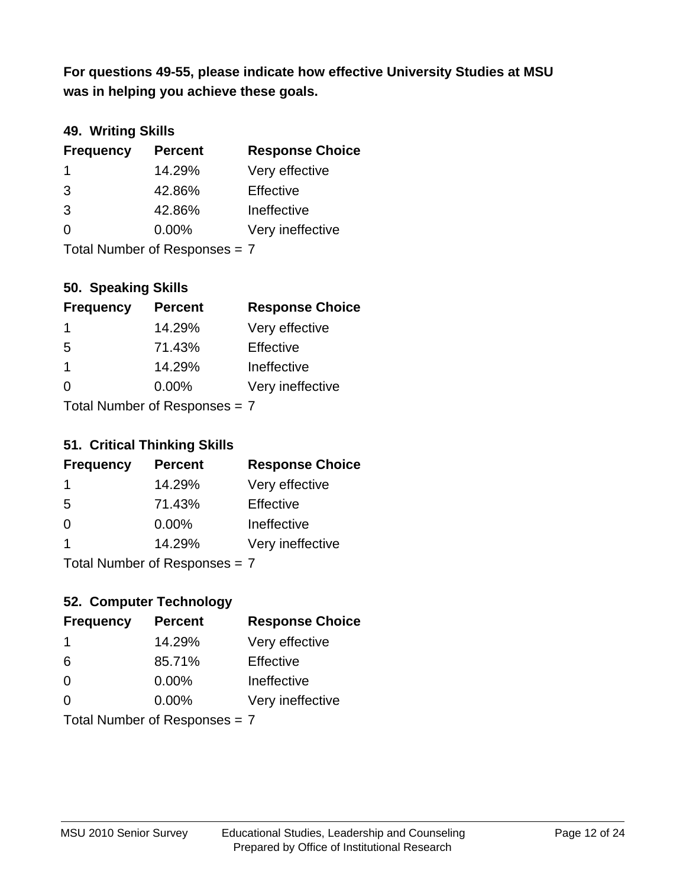**was in helping you achieve these goals. For questions 49-55, please indicate how effective University Studies at MSU** 

### **49. Writing Skills**

| <b>Frequency</b>              | <b>Percent</b> | <b>Response Choice</b> |
|-------------------------------|----------------|------------------------|
| -1                            | 14.29%         | Very effective         |
| 3                             | 42.86%         | Effective              |
| 3                             | 42.86%         | Ineffective            |
| $\Omega$                      | $0.00\%$       | Very ineffective       |
| Total Number of Responses = 7 |                |                        |

**50. Speaking Skills**

| <b>Frequency</b>                 | <b>Percent</b> | <b>Response Choice</b> |
|----------------------------------|----------------|------------------------|
| -1                               | 14.29%         | Very effective         |
| -5                               | 71.43%         | Effective              |
| $\mathbf 1$                      | 14.29%         | Ineffective            |
| $\Omega$                         | 0.00%          | Very ineffective       |
| $Total Number of DoEROR 202 = 7$ |                |                        |

I otal Number of Responses = 7

### **51. Critical Thinking Skills**

| <b>Frequency</b> | <b>Percent</b>            | <b>Response Choice</b> |
|------------------|---------------------------|------------------------|
| 1                | 14.29%                    | Very effective         |
| -5               | 71.43%                    | Effective              |
| $\Omega$         | 0.00%                     | Ineffective            |
| 1                | 14.29%                    | Very ineffective       |
|                  | Total Number of Deepensee |                        |

Total Number of Responses = 7

### **52. Computer Technology**

| <b>Frequency</b>              | <b>Percent</b> | <b>Response Choice</b> |
|-------------------------------|----------------|------------------------|
| $\mathbf 1$                   | 14.29%         | Very effective         |
| 6                             | 85.71%         | Effective              |
| $\Omega$                      | $0.00\%$       | Ineffective            |
| 0                             | 0.00%          | Very ineffective       |
| Total Number of Responses = 7 |                |                        |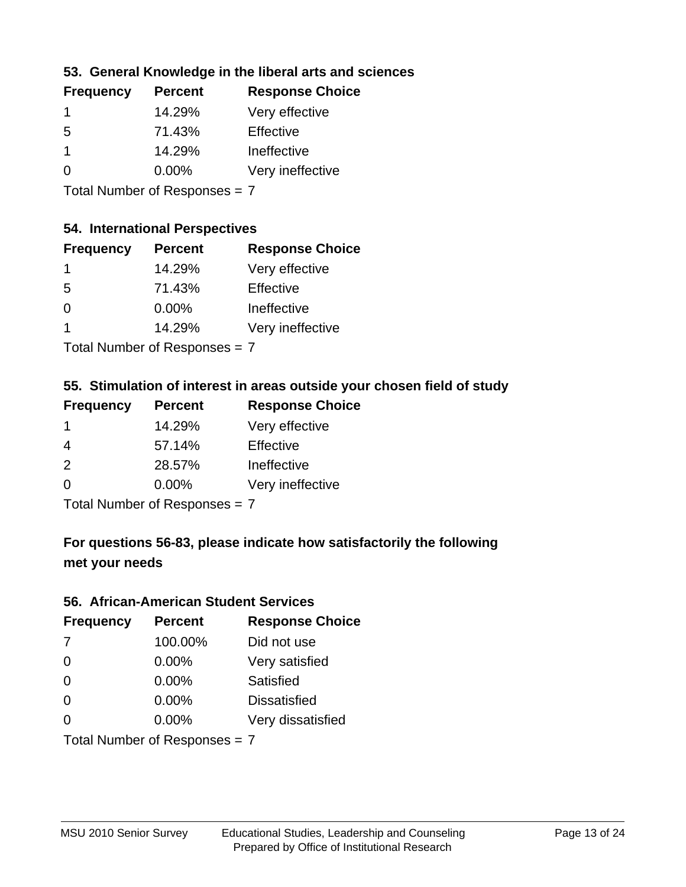### **53. General Knowledge in the liberal arts and sciences**

| <b>Frequency</b> | <b>Percent</b> | <b>Response Choice</b> |
|------------------|----------------|------------------------|
|                  | 14.29%         | Very effective         |
| .5               | 71.43%         | Effective              |
|                  | 14.29%         | Ineffective            |
| ∩                | $0.00\%$       | Very ineffective       |
|                  |                |                        |

Total Number of Responses = 7

### **54. International Perspectives**

| <b>Frequency</b> | <b>Percent</b> | <b>Response Choice</b> |
|------------------|----------------|------------------------|
| 1                | 14.29%         | Very effective         |
| -5               | 71.43%         | Effective              |
| 0                | 0.00%          | Ineffective            |
| 1                | 14.29%         | Very ineffective       |
|                  |                |                        |

Total Number of Responses = 7

### **55. Stimulation of interest in areas outside your chosen field of study**

| <b>Frequency</b> | <b>Percent</b>            | <b>Response Choice</b> |
|------------------|---------------------------|------------------------|
|                  | 14.29%                    | Very effective         |
| 4                | 57.14%                    | Effective              |
| 2                | 28.57%                    | Ineffective            |
| $\Omega$         | 0.00%                     | Very ineffective       |
|                  | Tatal Manakan af Dagmanag |                        |

Total Number of Responses = 7

### **For questions 56-83, please indicate how satisfactorily the following met your needs**

#### **56. African-American Student Services**

| <b>Frequency</b> | <b>Percent</b>                | <b>Response Choice</b> |
|------------------|-------------------------------|------------------------|
| 7                | 100.00%                       | Did not use            |
| $\Omega$         | 0.00%                         | Very satisfied         |
| $\Omega$         | 0.00%                         | Satisfied              |
| $\Omega$         | $0.00\%$                      | <b>Dissatisfied</b>    |
| $\Omega$         | 0.00%                         | Very dissatisfied      |
|                  | Total Number of Responses = 7 |                        |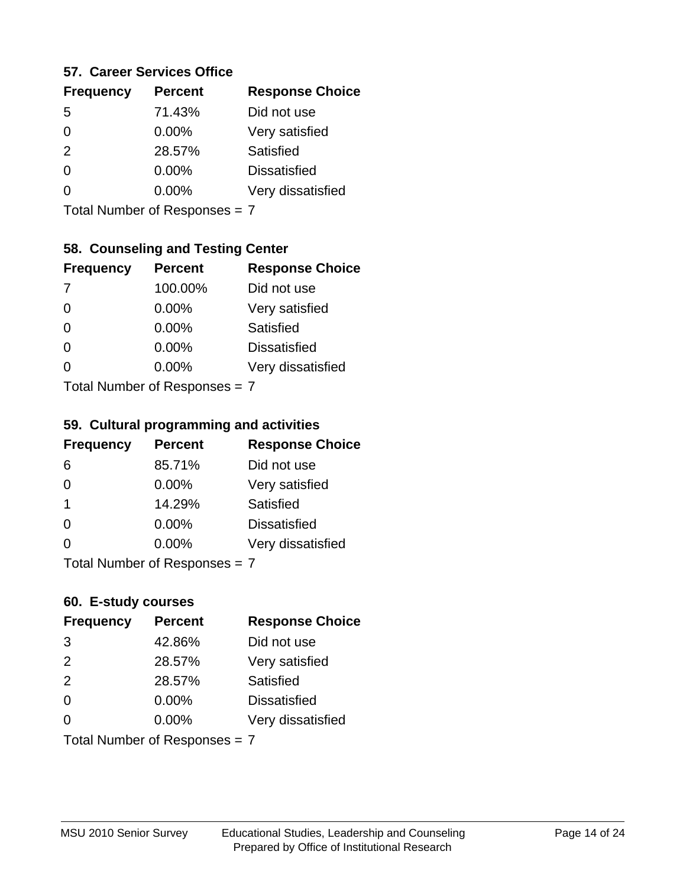### **57. Career Services Office**

| <b>Frequency</b> | <b>Percent</b> | <b>Response Choice</b> |
|------------------|----------------|------------------------|
| 5                | 71.43%         | Did not use            |
| 0                | 0.00%          | Very satisfied         |
| 2                | 28.57%         | Satisfied              |
| 0                | $0.00\%$       | <b>Dissatisfied</b>    |
|                  | $0.00\%$       | Very dissatisfied      |
|                  |                |                        |

Total Number of Responses = 7

### **58. Counseling and Testing Center**

| <b>Frequency</b>              | <b>Percent</b> | <b>Response Choice</b> |
|-------------------------------|----------------|------------------------|
| -7                            | 100.00%        | Did not use            |
| $\Omega$                      | 0.00%          | Very satisfied         |
| $\Omega$                      | 0.00%          | Satisfied              |
| $\Omega$                      | $0.00\%$       | <b>Dissatisfied</b>    |
|                               | 0.00%          | Very dissatisfied      |
| $Total Number of Denence = 7$ |                |                        |

Total Number of Responses = 7

#### **59. Cultural programming and activities**

| <b>Frequency</b>           | <b>Percent</b> | <b>Response Choice</b> |
|----------------------------|----------------|------------------------|
| 6                          | 85.71%         | Did not use            |
| $\Omega$                   | $0.00\%$       | Very satisfied         |
| -1                         | 14.29%         | Satisfied              |
| $\Omega$                   | $0.00\%$       | <b>Dissatisfied</b>    |
| $\Omega$                   | $0.00\%$       | Very dissatisfied      |
| Total Number of Denonone – |                |                        |

Total Number of Responses = 7

### **60. E-study courses**

| <b>Frequency</b> | <b>Percent</b>                | <b>Response Choice</b> |
|------------------|-------------------------------|------------------------|
| 3                | 42.86%                        | Did not use            |
| 2                | 28.57%                        | Very satisfied         |
| 2                | 28.57%                        | Satisfied              |
| $\Omega$         | 0.00%                         | <b>Dissatisfied</b>    |
| $\Omega$         | $0.00\%$                      | Very dissatisfied      |
|                  | Total Number of Responses = 7 |                        |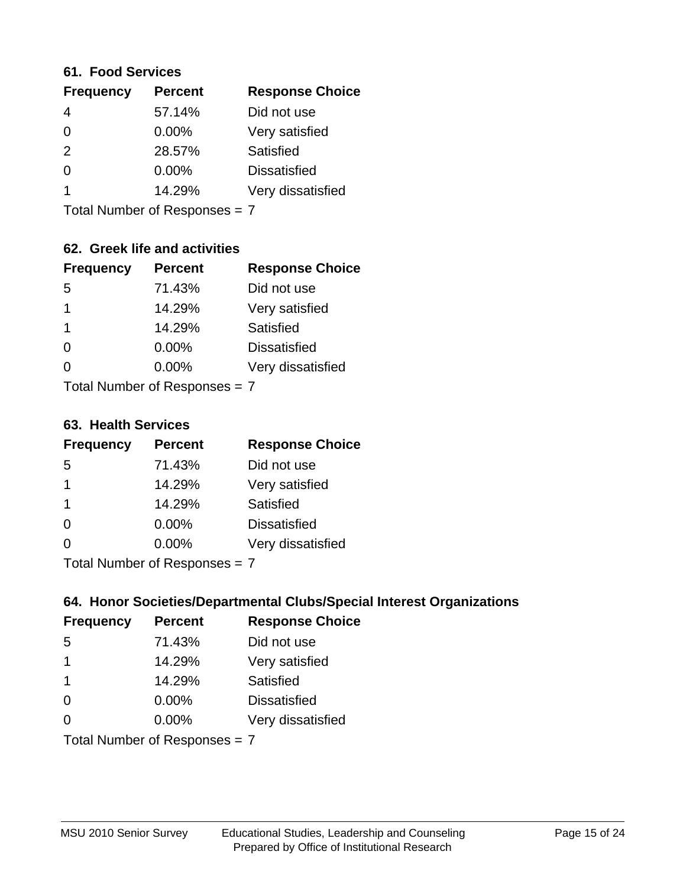### **61. Food Services**

| <b>Frequency</b> | <b>Percent</b> | <b>Response Choice</b> |
|------------------|----------------|------------------------|
| 4                | 57.14%         | Did not use            |
| $\Omega$         | $0.00\%$       | Very satisfied         |
| 2                | 28.57%         | Satisfied              |
| $\Omega$         | $0.00\%$       | <b>Dissatisfied</b>    |
|                  | 14.29%         | Very dissatisfied      |
|                  |                |                        |

Total Number of Responses = 7

### **62. Greek life and activities**

| <b>Frequency</b>              | <b>Percent</b> | <b>Response Choice</b> |
|-------------------------------|----------------|------------------------|
| 5                             | 71.43%         | Did not use            |
| 1                             | 14.29%         | Very satisfied         |
| 1                             | 14.29%         | Satisfied              |
| $\Omega$                      | 0.00%          | <b>Dissatisfied</b>    |
|                               | $0.00\%$       | Very dissatisfied      |
| Total Number of Responses = 7 |                |                        |

**63. Health Services**

| <b>Frequency</b> | <b>Percent</b>             | <b>Response Choice</b> |
|------------------|----------------------------|------------------------|
| 5                | 71.43%                     | Did not use            |
| 1                | 14.29%                     | Very satisfied         |
| -1               | 14.29%                     | Satisfied              |
| $\Omega$         | 0.00%                      | <b>Dissatisfied</b>    |
| $\Omega$         | 0.00%                      | Very dissatisfied      |
|                  | Tatal Number of Desperance |                        |

Total Number of Responses = 7

### **64. Honor Societies/Departmental Clubs/Special Interest Organizations**

| <b>Frequency</b> | <b>Percent</b>                | <b>Response Choice</b> |
|------------------|-------------------------------|------------------------|
| 5                | 71.43%                        | Did not use            |
| $\mathbf 1$      | 14.29%                        | Very satisfied         |
| -1               | 14.29%                        | Satisfied              |
| $\Omega$         | 0.00%                         | <b>Dissatisfied</b>    |
| $\Omega$         | 0.00%                         | Very dissatisfied      |
|                  | Total Number of Responses = 7 |                        |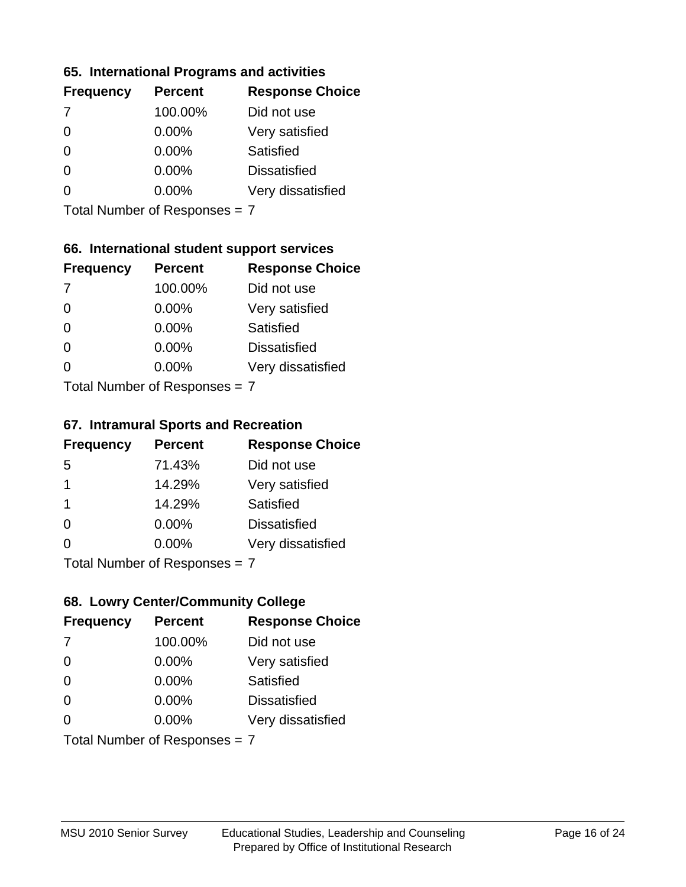### **65. International Programs and activities**

| <b>Frequency</b> | <b>Percent</b> | <b>Response Choice</b> |
|------------------|----------------|------------------------|
| -7               | 100.00%        | Did not use            |
|                  | 0.00%          | Very satisfied         |
|                  | $0.00\%$       | Satisfied              |
|                  | $0.00\%$       | <b>Dissatisfied</b>    |
|                  | $0.00\%$       | Very dissatisfied      |
|                  |                |                        |

Total Number of Responses = 7

### **66. International student support services**

| <b>Frequency</b>                | <b>Percent</b> | <b>Response Choice</b> |
|---------------------------------|----------------|------------------------|
| -7                              | 100.00%        | Did not use            |
| $\Omega$                        | 0.00%          | Very satisfied         |
| $\Omega$                        | $0.00\%$       | <b>Satisfied</b>       |
| $\Omega$                        | 0.00%          | <b>Dissatisfied</b>    |
| ∩                               | 0.00%          | Very dissatisfied      |
| $Total Number of Doepopoog = 7$ |                |                        |

Total Number of Responses = 7

### **67. Intramural Sports and Recreation**

| <b>Frequency</b> | <b>Percent</b>                | <b>Response Choice</b> |
|------------------|-------------------------------|------------------------|
| -5               | 71.43%                        | Did not use            |
| $\mathbf 1$      | 14.29%                        | Very satisfied         |
| $\overline{1}$   | 14.29%                        | Satisfied              |
| $\Omega$         | 0.00%                         | <b>Dissatisfied</b>    |
| $\Omega$         | $0.00\%$                      | Very dissatisfied      |
|                  | $Total Number of Denonce = 7$ |                        |

Total Number of Responses = 7

### **68. Lowry Center/Community College**

| <b>Frequency</b> | <b>Percent</b>                | <b>Response Choice</b> |
|------------------|-------------------------------|------------------------|
| -7               | 100.00%                       | Did not use            |
| $\Omega$         | 0.00%                         | Very satisfied         |
| $\Omega$         | 0.00%                         | Satisfied              |
| $\Omega$         | 0.00%                         | <b>Dissatisfied</b>    |
| 0                | $0.00\%$                      | Very dissatisfied      |
|                  | Total Number of Responses = 7 |                        |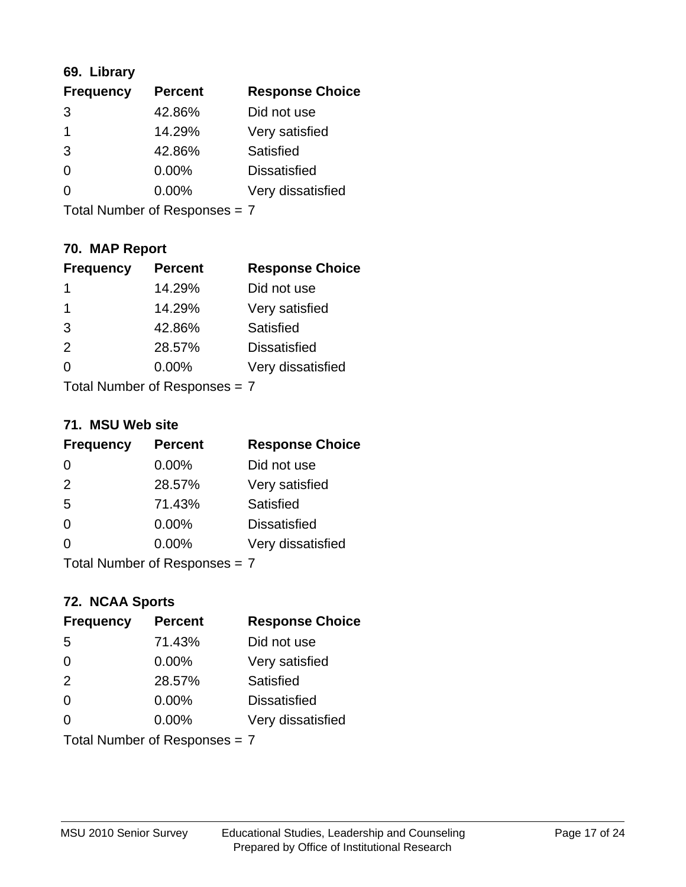### **69. Library**

| <b>Frequency</b> | <b>Percent</b> | <b>Response Choice</b> |
|------------------|----------------|------------------------|
| 3                | 42.86%         | Did not use            |
| 1                | 14.29%         | Very satisfied         |
| 3                | 42.86%         | Satisfied              |
| 0                | 0.00%          | <b>Dissatisfied</b>    |
| 0                | $0.00\%$       | Very dissatisfied      |
|                  |                |                        |

Total Number of Responses = 7

### **70. MAP Report**

| <b>Frequency</b>              | <b>Percent</b> | <b>Response Choice</b> |
|-------------------------------|----------------|------------------------|
| 1                             | 14.29%         | Did not use            |
| 1                             | 14.29%         | Very satisfied         |
| 3                             | 42.86%         | Satisfied              |
| 2                             | 28.57%         | <b>Dissatisfied</b>    |
| ∩                             | $0.00\%$       | Very dissatisfied      |
| Total Number of Responses = 7 |                |                        |

### **71. MSU Web site**

| <b>Frequency</b> | <b>Percent</b>                | <b>Response Choice</b> |
|------------------|-------------------------------|------------------------|
| $\Omega$         | 0.00%                         | Did not use            |
| 2                | 28.57%                        | Very satisfied         |
| 5                | 71.43%                        | Satisfied              |
| $\Omega$         | 0.00%                         | <b>Dissatisfied</b>    |
| ∩                | 0.00%                         | Very dissatisfied      |
|                  | Total Number of Responses = 7 |                        |

# **72. NCAA Sports**

| <b>Frequency</b>              | <b>Percent</b> | <b>Response Choice</b> |
|-------------------------------|----------------|------------------------|
| 5                             | 71.43%         | Did not use            |
| $\Omega$                      | 0.00%          | Very satisfied         |
| 2                             | 28.57%         | Satisfied              |
| $\Omega$                      | 0.00%          | <b>Dissatisfied</b>    |
| ∩                             | $0.00\%$       | Very dissatisfied      |
| Total Number of Responses = 7 |                |                        |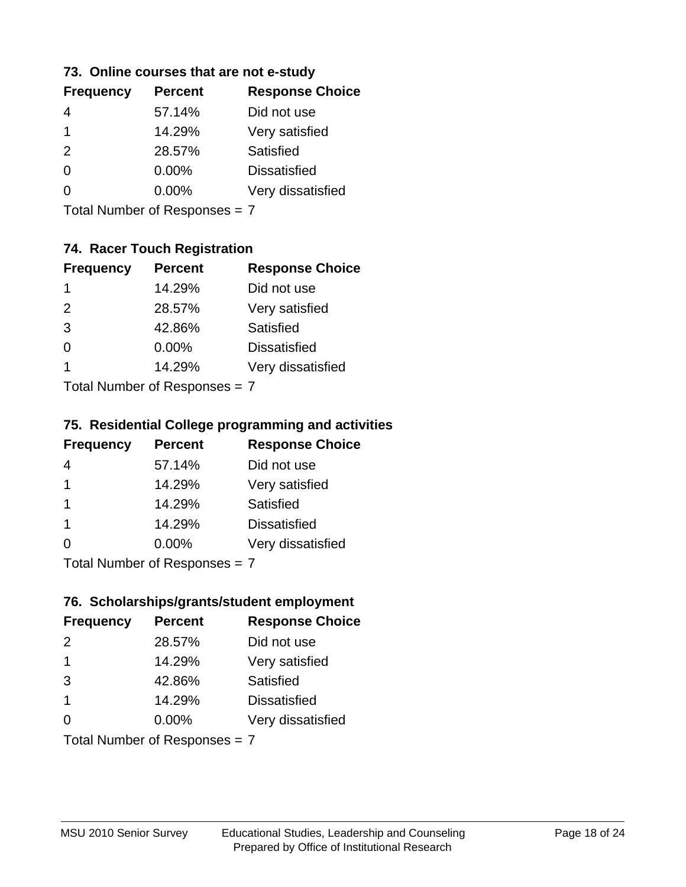### **73. Online courses that are not e-study**

| <b>Response Choice</b> |
|------------------------|
|                        |
|                        |
|                        |
|                        |
|                        |
|                        |

Total Number of Responses = 7

## **74. Racer Touch Registration**

| <b>Frequency</b>           | <b>Percent</b> | <b>Response Choice</b> |
|----------------------------|----------------|------------------------|
| 1                          | 14.29%         | Did not use            |
| $\mathcal{P}$              | 28.57%         | Very satisfied         |
| 3                          | 42.86%         | <b>Satisfied</b>       |
| $\Omega$                   | $0.00\%$       | <b>Dissatisfied</b>    |
| 1                          | 14.29%         | Very dissatisfied      |
| Tatal Number of Desperance |                |                        |

Total Number of Responses = 7

### **75. Residential College programming and activities**

| <b>Frequency</b>        | <b>Percent</b>             | <b>Response Choice</b> |
|-------------------------|----------------------------|------------------------|
| 4                       | 57.14%                     | Did not use            |
| $\overline{1}$          | 14.29%                     | Very satisfied         |
| -1                      | 14.29%                     | Satisfied              |
| $\overline{\mathbf{1}}$ | 14.29%                     | <b>Dissatisfied</b>    |
| $\Omega$                | 0.00%                      | Very dissatisfied      |
|                         | Total Number of Deepersoon |                        |

Total Number of Responses = 7

### **76. Scholarships/grants/student employment**

| <b>Frequency</b>              | <b>Percent</b> | <b>Response Choice</b> |
|-------------------------------|----------------|------------------------|
| $\mathcal{P}$                 | 28.57%         | Did not use            |
| -1                            | 14.29%         | Very satisfied         |
| 3                             | 42.86%         | Satisfied              |
| -1                            | 14.29%         | <b>Dissatisfied</b>    |
| ∩                             | $0.00\%$       | Very dissatisfied      |
| Total Number of Responses = 7 |                |                        |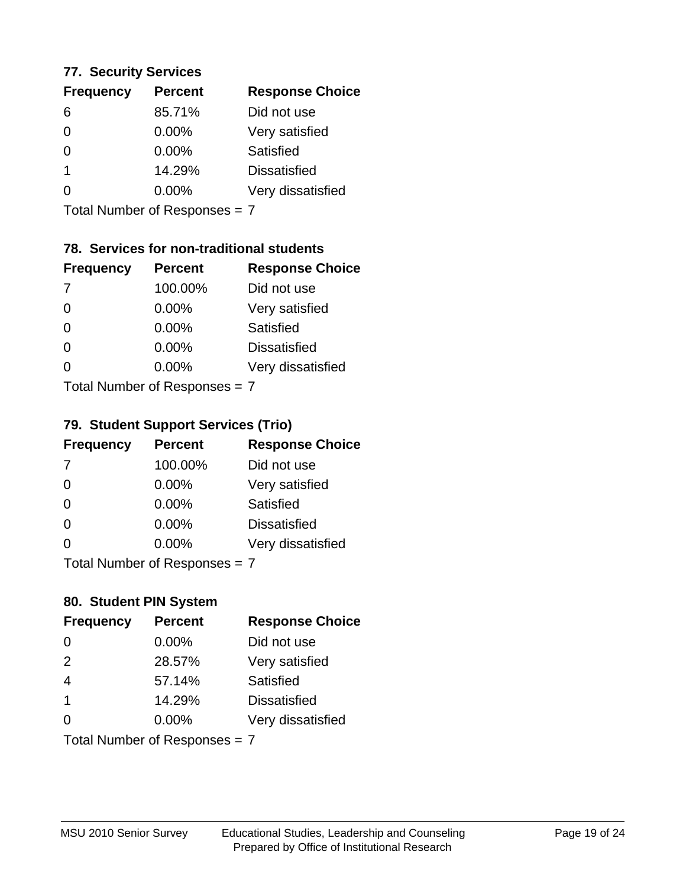### **77. Security Services**

| <b>Percent</b> | <b>Response Choice</b> |
|----------------|------------------------|
| 85.71%         | Did not use            |
| $0.00\%$       | Very satisfied         |
| $0.00\%$       | Satisfied              |
| 14.29%         | <b>Dissatisfied</b>    |
| $0.00\%$       | Very dissatisfied      |
|                |                        |

Total Number of Responses = 7

### **78. Services for non-traditional students**

| <b>Frequency</b>                 | <b>Percent</b> | <b>Response Choice</b> |
|----------------------------------|----------------|------------------------|
| -7                               | 100.00%        | Did not use            |
| $\Omega$                         | 0.00%          | Very satisfied         |
| $\Omega$                         | $0.00\%$       | Satisfied              |
| $\Omega$                         | 0.00%          | <b>Dissatisfied</b>    |
| ∩                                | 0.00%          | Very dissatisfied      |
| $Total Number of DoEROR 202 = 7$ |                |                        |

Total Number of Responses = 7

### **79. Student Support Services (Trio)**

| <b>Frequency</b>              | <b>Percent</b> | <b>Response Choice</b> |
|-------------------------------|----------------|------------------------|
| 7                             | 100.00%        | Did not use            |
| $\Omega$                      | 0.00%          | Very satisfied         |
| $\Omega$                      | 0.00%          | Satisfied              |
| $\Omega$                      | 0.00%          | <b>Dissatisfied</b>    |
| $\Omega$                      | 0.00%          | Very dissatisfied      |
| $Total Number of Denonce - 7$ |                |                        |

Total Number of Responses = 7

### **80. Student PIN System**

| <b>Frequency</b> | <b>Percent</b>                | <b>Response Choice</b> |
|------------------|-------------------------------|------------------------|
| 0                | 0.00%                         | Did not use            |
| 2                | 28.57%                        | Very satisfied         |
| $\overline{4}$   | 57.14%                        | Satisfied              |
| $\overline{1}$   | 14.29%                        | <b>Dissatisfied</b>    |
| $\Omega$         | $0.00\%$                      | Very dissatisfied      |
|                  | Total Number of Responses = 7 |                        |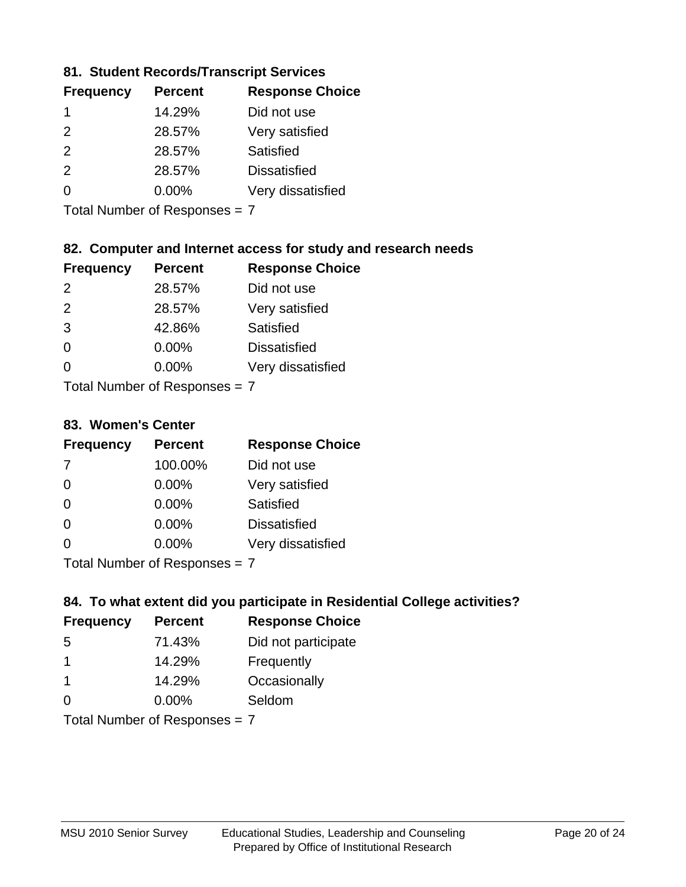### **81. Student Records/Transcript Services**

| <b>Frequency</b> | <b>Response Choice</b><br><b>Percent</b> |                     |
|------------------|------------------------------------------|---------------------|
|                  | 14.29%                                   | Did not use         |
| $\mathcal{P}$    | 28.57%                                   | Very satisfied      |
| $\mathcal{P}$    | 28.57%                                   | Satisfied           |
| $\mathcal{P}$    | 28.57%                                   | <b>Dissatisfied</b> |
| ∩                | $0.00\%$                                 | Very dissatisfied   |

Total Number of Responses = 7

### **82. Computer and Internet access for study and research needs**

| <b>Frequency</b> | <b>Percent</b> | <b>Response Choice</b> |
|------------------|----------------|------------------------|
| $\mathcal{P}$    | 28.57%         | Did not use            |
| 2                | 28.57%         | Very satisfied         |
| 3                | 42.86%         | <b>Satisfied</b>       |
| 0                | 0.00%          | <b>Dissatisfied</b>    |
| O                | 0.00%          | Very dissatisfied      |
|                  |                |                        |

Total Number of Responses = 7

#### **83. Women's Center**

| <b>Frequency</b>          | <b>Percent</b> | <b>Response Choice</b> |
|---------------------------|----------------|------------------------|
| -7                        | 100.00%        | Did not use            |
| $\Omega$                  | 0.00%          | Very satisfied         |
| $\Omega$                  | 0.00%          | Satisfied              |
| $\Omega$                  | 0.00%          | <b>Dissatisfied</b>    |
| $\Omega$                  | 0.00%          | Very dissatisfied      |
| Total Number of Despasses |                |                        |

Total Number of Responses = 7

### **84. To what extent did you participate in Residential College activities?**

| <b>Frequency</b> | <b>Percent</b>                 | <b>Response Choice</b> |  |
|------------------|--------------------------------|------------------------|--|
| .5               | 71.43%                         | Did not participate    |  |
|                  | 14.29%                         | Frequently             |  |
| -1               | 14.29%                         | Occasionally           |  |
| $\Omega$         | 0.00%                          | Seldom                 |  |
|                  | $Total Number of Denonone = 7$ |                        |  |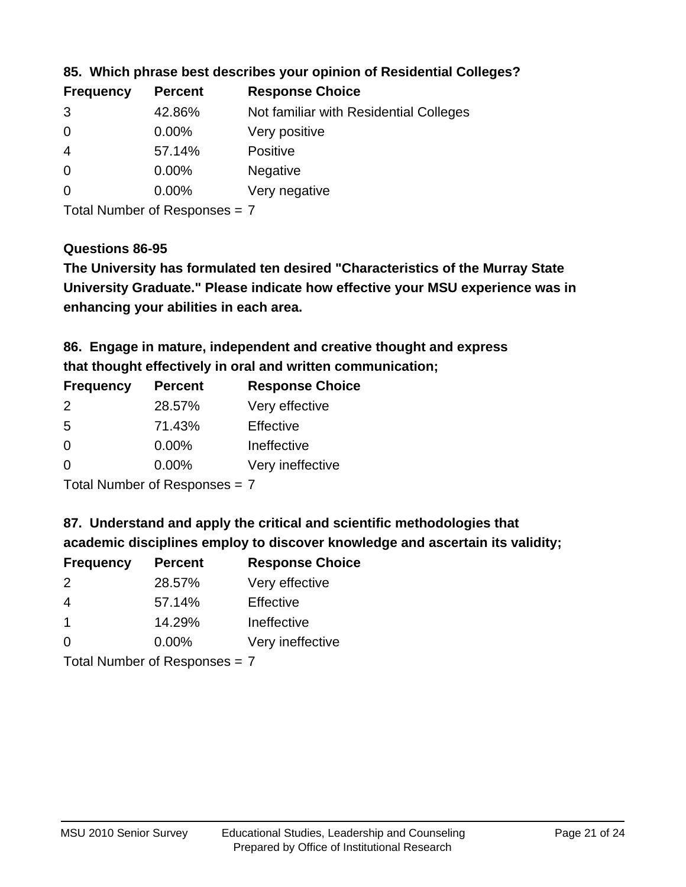| <b>Frequency</b> | <b>Percent</b> | <b>Response Choice</b>                 |
|------------------|----------------|----------------------------------------|
| 3                | 42.86%         | Not familiar with Residential Colleges |
| $\overline{0}$   | $0.00\%$       | Very positive                          |
| -4               | 57.14%         | <b>Positive</b>                        |
| $\overline{0}$   | $0.00\%$       | <b>Negative</b>                        |
| -0               | $0.00\%$       | Very negative                          |
|                  |                |                                        |

### **85. Which phrase best describes your opinion of Residential Colleges?**

Total Number of Responses = 7

#### **Questions 86-95**

**University Graduate." Please indicate how effective your MSU experience was in The University has formulated ten desired "Characteristics of the Murray State enhancing your abilities in each area.**

**86. Engage in mature, independent and creative thought and express that thought effectively in oral and written communication;**

| <b>Frequency</b> | <b>Percent</b> | <b>Response Choice</b> |
|------------------|----------------|------------------------|
| $\mathcal{P}$    | 28.57%         | Very effective         |
| -5               | 71.43%         | Effective              |
| $\Omega$         | $0.00\%$       | Ineffective            |
| O                | $0.00\%$       | Very ineffective       |

Total Number of Responses = 7

**87. Understand and apply the critical and scientific methodologies that** 

**academic disciplines employ to discover knowledge and ascertain its validity;**

| <b>Frequency</b> | <b>Percent</b> | <b>Response Choice</b> |
|------------------|----------------|------------------------|
| $\mathcal{P}$    | 28.57%         | Very effective         |
| $\overline{4}$   | 57.14%         | Effective              |
|                  | 14.29%         | Ineffective            |
| $\Omega$         | 0.00%          | Very ineffective       |
|                  |                |                        |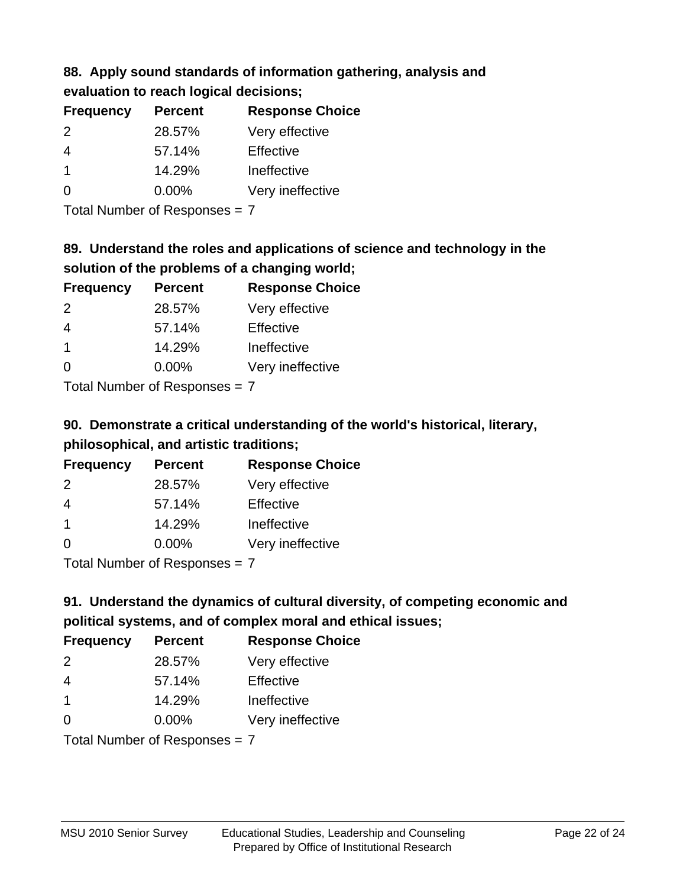## **88. Apply sound standards of information gathering, analysis and evaluation to reach logical decisions;**

| <b>Frequency</b> | <b>Percent</b> | <b>Response Choice</b> |
|------------------|----------------|------------------------|
| $\mathcal{P}$    | 28.57%         | Very effective         |
| 4                | 57.14%         | Effective              |
|                  | 14.29%         | Ineffective            |
| ∩                | $0.00\%$       | Very ineffective       |

Total Number of Responses = 7

# **89. Understand the roles and applications of science and technology in the solution of the problems of a changing world;**

| <b>Frequency</b>           | <b>Percent</b> | <b>Response Choice</b> |
|----------------------------|----------------|------------------------|
| $\mathcal{P}$              | 28.57%         | Very effective         |
| $\overline{4}$             | 57.14%         | Effective              |
| $\overline{1}$             | 14.29%         | Ineffective            |
| $\Omega$                   | 0.00%          | Very ineffective       |
| Tatal Number of Desperance |                |                        |

Total Number of Responses = 7

# **90. Demonstrate a critical understanding of the world's historical, literary, philosophical, and artistic traditions;**

| <b>Frequency</b> | <b>Percent</b> | <b>Response Choice</b> |
|------------------|----------------|------------------------|
| 2                | 28.57%         | Very effective         |
| $\overline{4}$   | 57.14%         | Effective              |
| $\mathbf 1$      | 14.29%         | Ineffective            |
| $\Omega$         | 0.00%          | Very ineffective       |
|                  |                |                        |

Total Number of Responses = 7

# **91. Understand the dynamics of cultural diversity, of competing economic and political systems, and of complex moral and ethical issues;**

| <b>Frequency</b> | <b>Percent</b>                  | <b>Response Choice</b> |
|------------------|---------------------------------|------------------------|
| 2                | 28.57%                          | Very effective         |
| $\overline{4}$   | 57.14%                          | Effective              |
| $\overline{1}$   | 14.29%                          | Ineffective            |
| $\Omega$         | 0.00%                           | Very ineffective       |
|                  | Total Number of Responses = $7$ |                        |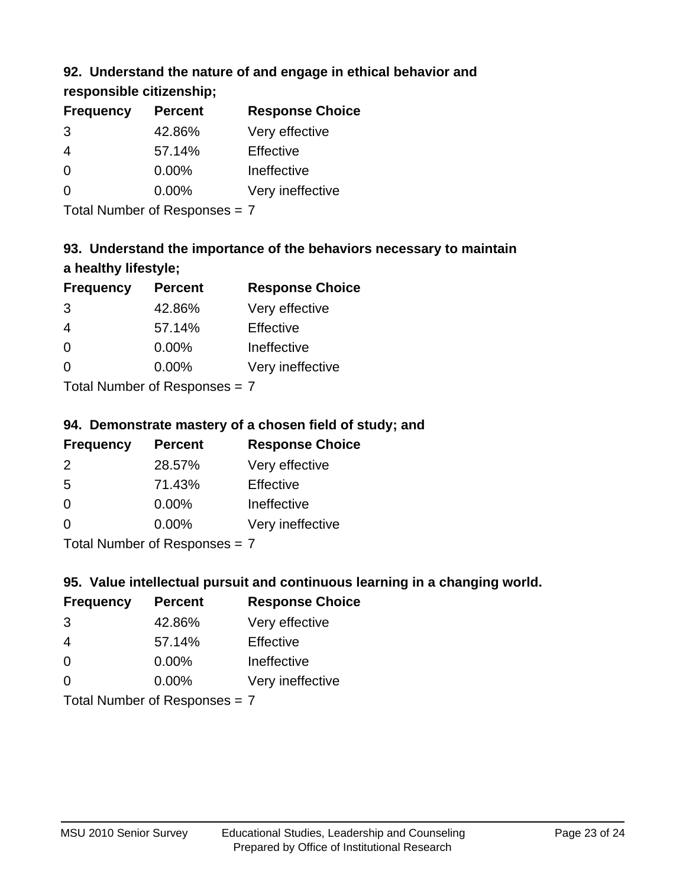### **92. Understand the nature of and engage in ethical behavior and**

**responsible citizenship;**

| <b>Frequency</b> | <b>Percent</b> | <b>Response Choice</b> |
|------------------|----------------|------------------------|
| 3                | 42.86%         | Very effective         |
| 4                | 57.14%         | Effective              |
| $\Omega$         | $0.00\%$       | Ineffective            |
| $\Omega$         | $0.00\%$       | Very ineffective       |
|                  |                |                        |

Total Number of Responses = 7

# **93. Understand the importance of the behaviors necessary to maintain a healthy lifestyle;**

| <b>Frequency</b> | <b>Percent</b> | <b>Response Choice</b> |
|------------------|----------------|------------------------|
| 3                | 42.86%         | Very effective         |
| $\overline{4}$   | 57.14%         | Effective              |
| $\Omega$         | 0.00%          | Ineffective            |
| $\Omega$         | 0.00%          | Very ineffective       |
|                  |                |                        |

Total Number of Responses = 7

### **94. Demonstrate mastery of a chosen field of study; and**

| <b>Frequency</b> | <b>Percent</b> | <b>Response Choice</b> |
|------------------|----------------|------------------------|
| $\mathcal{P}$    | 28.57%         | Very effective         |
| .5               | 71.43%         | Effective              |
| 0                | $0.00\%$       | Ineffective            |
| ∩                | $0.00\%$       | Very ineffective       |
|                  |                |                        |

Total Number of Responses = 7

### **95. Value intellectual pursuit and continuous learning in a changing world.**

| <b>Frequency</b> | <b>Percent</b> | <b>Response Choice</b> |
|------------------|----------------|------------------------|
| 3                | 42.86%         | Very effective         |
| 4                | 57.14%         | Effective              |
| $\Omega$         | 0.00%          | Ineffective            |
| ∩                | 0.00%          | Very ineffective       |
|                  |                |                        |